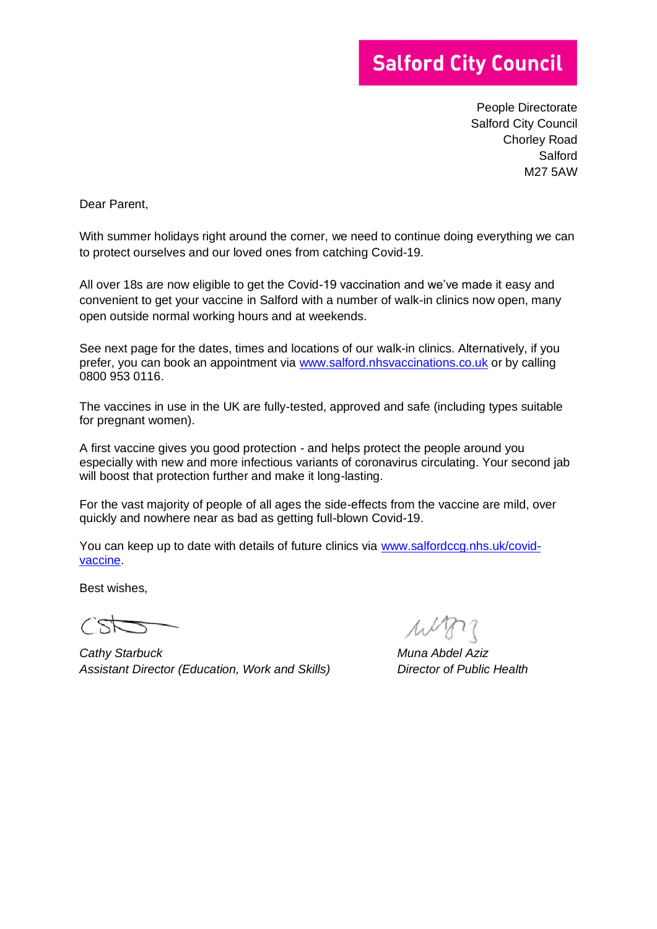## **Salford City Council**

People Directorate Salford City Council Chorley Road **Salford** M27 5AW

Dear Parent,

With summer holidays right around the corner, we need to continue doing everything we can to protect ourselves and our loved ones from catching Covid-19.

All over 18s are now eligible to get the Covid-19 vaccination and we've made it easy and convenient to get your vaccine in Salford with a number of walk-in clinics now open, many open outside normal working hours and at weekends.

See next page for the dates, times and locations of our walk-in clinics. Alternatively, if you prefer, you can book an appointment via [www.salford.nhsvaccinations.co.uk](http://www.salford.nhsvaccinations.co.uk/) or by calling 0800 953 0116.

The vaccines in use in the UK are fully-tested, approved and safe (including types suitable for pregnant women).

A first vaccine gives you good protection - and helps protect the people around you especially with new and more infectious variants of coronavirus circulating. Your second jab will boost that protection further and make it long-lasting.

For the vast majority of people of all ages the side-effects from the vaccine are mild, over quickly and nowhere near as bad as getting full-blown Covid-19.

You can keep up to date with details of future clinics via [www.salfordccg.nhs.uk/covid](http://www.salfordccg.nhs.uk/covid-vaccine)[vaccine.](http://www.salfordccg.nhs.uk/covid-vaccine)

Best wishes,

won

*Cathy Starbuck Muna Abdel Aziz Assistant Director (Education, Work and Skills) Director of Public Health*